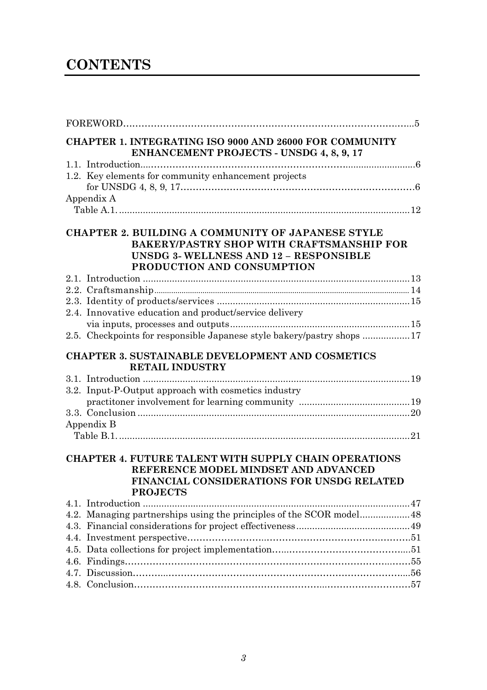## **CONTENTS**

| <b>CHAPTER 1. INTEGRATING ISO 9000 AND 26000 FOR COMMUNITY</b><br><b>ENHANCEMENT PROJECTS - UNSDG 4, 8, 9, 17</b>                                                             |  |
|-------------------------------------------------------------------------------------------------------------------------------------------------------------------------------|--|
|                                                                                                                                                                               |  |
| 1.2. Key elements for community enhancement projects                                                                                                                          |  |
| Appendix A                                                                                                                                                                    |  |
| CHAPTER 2. BUILDING A COMMUNITY OF JAPANESE STYLE<br><b>BAKERY/PASTRY SHOP WITH CRAFTSMANSHIP FOR</b><br>UNSDG 3- WELLNESS AND 12 - RESPONSIBLE<br>PRODUCTION AND CONSUMPTION |  |
|                                                                                                                                                                               |  |
|                                                                                                                                                                               |  |
|                                                                                                                                                                               |  |
| 2.4. Innovative education and product/service delivery                                                                                                                        |  |
|                                                                                                                                                                               |  |
| 2.5. Checkpoints for responsible Japanese style bakery/pastry shops 17                                                                                                        |  |
| <b>CHAPTER 3. SUSTAINABLE DEVELOPMENT AND COSMETICS</b><br><b>RETAIL INDUSTRY</b>                                                                                             |  |
|                                                                                                                                                                               |  |
| 3.2. Input-P-Output approach with cosmetics industry                                                                                                                          |  |
|                                                                                                                                                                               |  |
|                                                                                                                                                                               |  |
| Appendix B                                                                                                                                                                    |  |
|                                                                                                                                                                               |  |
| <b>CHAPTER 4. FUTURE TALENT WITH SUPPLY CHAIN OPERATIONS</b><br>REFERENCE MODEL MINDSET AND ADVANCED<br>FINANCIAL CONSIDERATIONS FOR UNSDG RELATED<br><b>PROJECTS</b>         |  |
|                                                                                                                                                                               |  |
|                                                                                                                                                                               |  |
|                                                                                                                                                                               |  |
|                                                                                                                                                                               |  |
|                                                                                                                                                                               |  |
|                                                                                                                                                                               |  |
|                                                                                                                                                                               |  |
|                                                                                                                                                                               |  |